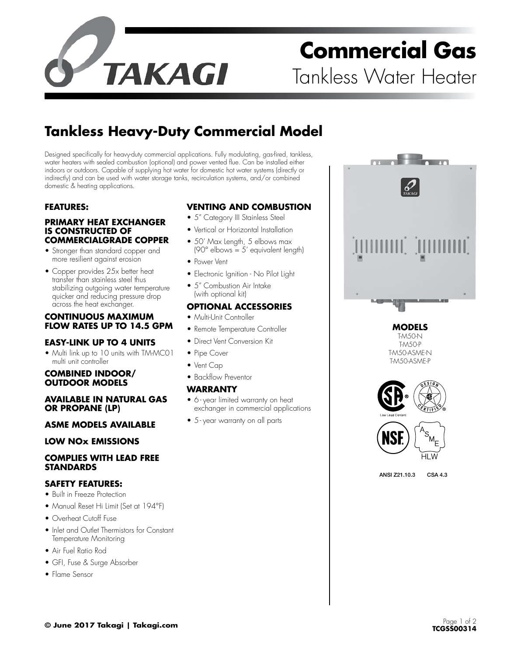

# **Commercial Gas** Tankless Water Heater

## **Tankless Heavy-Duty Commercial Model**

Designed specifically for heavy-duty commercial applications. Fully modulating, gas-fired, tankless, water heaters with sealed combustion (optional) and power vented flue. Can be installed either indoors or outdoors. Capable of supplying hot water for domestic hot water systems (directly or indirectly) and can be used with water storage tanks, recirculation systems, and/or combined domestic & heating applications.

#### **FEATURES:**

#### **PRIMARY HEAT EXCHANGER IS CONSTRUCTED OF COMMERCIALGRADE COPPER**

- Stronger than standard copper and more resilient against erosion
- Copper provides 25x better heat transfer than stainless steel thus stabilizing outgoing water temperature quicker and reducing pressure drop across the heat exchanger.

#### **CONTINUOUS MAXIMUM FLOW RATES UP TO 14.5 GPM**

#### **EASY-LINK UP TO 4 UNITS**

• Multi link up to 10 units with TM-MC01 multi unit controller

#### **COMBINED INDOOR/ OUTDOOR MODELS**

#### **AVAILABLE IN NATURAL GAS OR PROPANE (LP)**

#### **ASME MODELS AVAILABLE**

#### **LOW NOx EMISSIONS**

#### **COMPLIES WITH LEAD FREE STANDARDS**

#### **SAFETY FEATURES:**

- Built in Freeze Protection
- Manual Reset Hi Limit (Set at 194°F)
- Overheat Cutoff Fuse
- Inlet and Outlet Thermistors for Constant Temperature Monitoring
- Air Fuel Ratio Rod
- GFI, Fuse & Surge Absorber
- Flame Sensor

#### **VENTING AND COMBUSTION**

- 5" Category III Stainless Steel
- Vertical or Horizontal Installation
- 50' Max Length, 5 elbows max  $(90^\circ$  elbows = 5' equivalent length)
- Power Vent
- Electronic Ignition No Pilot Light
- 5" Combustion Air Intake (with optional kit)

#### **OPTIONAL ACCESSORIES**

- Multi-Unit Controller
- Remote Temperature Controller
- Direct Vent Conversion Kit
- Pipe Cover
- Vent Cap
- Backflow Preventor

#### **WARRANTY**

- 6 year limited warranty on heat exchanger in commercial applications
- 5 year warranty on all parts

**MODELS** T-M50-N T-M50-P

> T-M50-ASME-N T-M50-ASME-P

HI

ANSI Z21.10.3 CSA 4.3

**© June 2017 Takagi | Takagi.com** Page 1 of 2